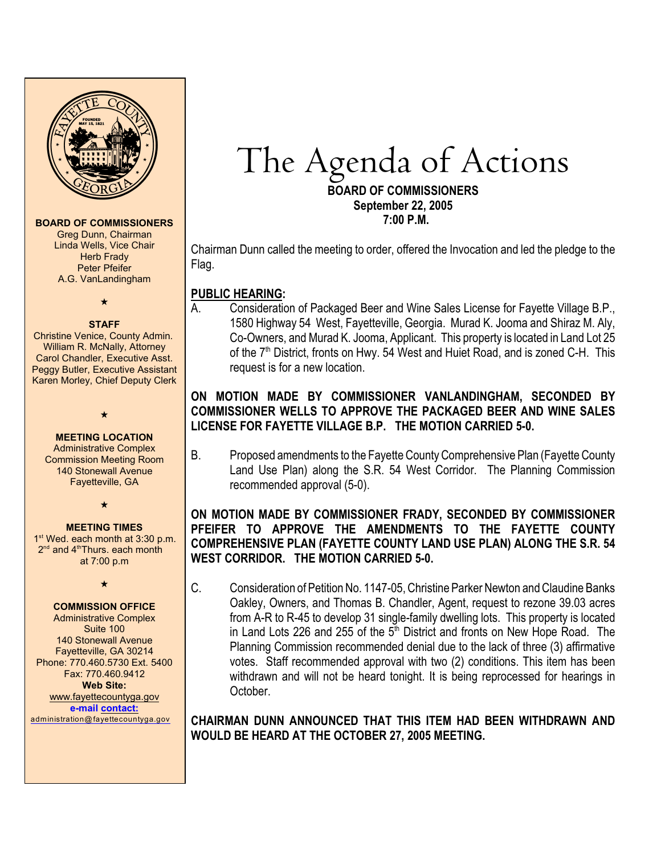

#### **BOARD OF COMMISSIONERS**

Greg Dunn, Chairman Linda Wells, Vice Chair **Herb Frady** Peter Pfeifer A.G. VanLandingham

 $\star$ 

#### **STAFF**

 Christine Venice, County Admin. William R. McNally, Attorney Carol Chandler, Executive Asst. Peggy Butler, Executive Assistant Karen Morley, Chief Deputy Clerk

 $\star$ 

**MEETING LOCATION** Administrative Complex Commission Meeting Room 140 Stonewall Avenue Fayetteville, GA

 $\star$ 

#### **MEETING TIMES**

 $1<sup>st</sup>$  Wed. each month at 3:30 p.m.  $2<sup>nd</sup>$  and  $4<sup>th</sup>$ Thurs. each month at 7:00 p.m

 $\star$ 

#### **COMMISSION OFFICE**

Administrative Complex Suite 100 140 Stonewall Avenue Fayetteville, GA 30214 Phone: 770.460.5730 Ext. 5400 Fax: 770.460.9412 **Web Site:** [www.fayettecountyga.gov](http://www.admin.co.fayette.ga.us) **e-mail [contact:](mailto:administration@fayettecountyga.gov)** [administration@fayettecountyga.gov](mailto:administration@fayettecountyga.gov)

# The Agenda of Actions

**BOARD OF COMMISSIONERS September 22, 2005 7:00 P.M.**

Chairman Dunn called the meeting to order, offered the Invocation and led the pledge to the Flag.

# **PUBLIC HEARING:**

A. Consideration of Packaged Beer and Wine Sales License for Fayette Village B.P., 1580 Highway 54 West, Fayetteville, Georgia. Murad K. Jooma and Shiraz M. Aly, Co-Owners, and Murad K. Jooma, Applicant. This property is located in Land Lot 25 of the  $7<sup>th</sup>$  District, fronts on Hwy. 54 West and Huiet Road, and is zoned C-H. This request is for a new location.

# **ON MOTION MADE BY COMMISSIONER VANLANDINGHAM, SECONDED BY COMMISSIONER WELLS TO APPROVE THE PACKAGED BEER AND WINE SALES LICENSE FOR FAYETTE VILLAGE B.P. THE MOTION CARRIED 5-0.**

B. Proposed amendments to the Fayette County Comprehensive Plan (Fayette County Land Use Plan) along the S.R. 54 West Corridor. The Planning Commission recommended approval (5-0).

# **ON MOTION MADE BY COMMISSIONER FRADY, SECONDED BY COMMISSIONER PFEIFER TO APPROVE THE AMENDMENTS TO THE FAYETTE COUNTY COMPREHENSIVE PLAN (FAYETTE COUNTY LAND USE PLAN) ALONG THE S.R. 54 WEST CORRIDOR. THE MOTION CARRIED 5-0.**

C. Consideration of Petition No. 1147-05, Christine Parker Newton and Claudine Banks Oakley, Owners, and Thomas B. Chandler, Agent, request to rezone 39.03 acres from A-R to R-45 to develop 31 single-family dwelling lots. This property is located in Land Lots 226 and 255 of the  $5<sup>th</sup>$  District and fronts on New Hope Road. The Planning Commission recommended denial due to the lack of three (3) affirmative votes. Staff recommended approval with two (2) conditions. This item has been withdrawn and will not be heard tonight. It is being reprocessed for hearings in October.

**CHAIRMAN DUNN ANNOUNCED THAT THIS ITEM HAD BEEN WITHDRAWN AND WOULD BE HEARD AT THE OCTOBER 27, 2005 MEETING.**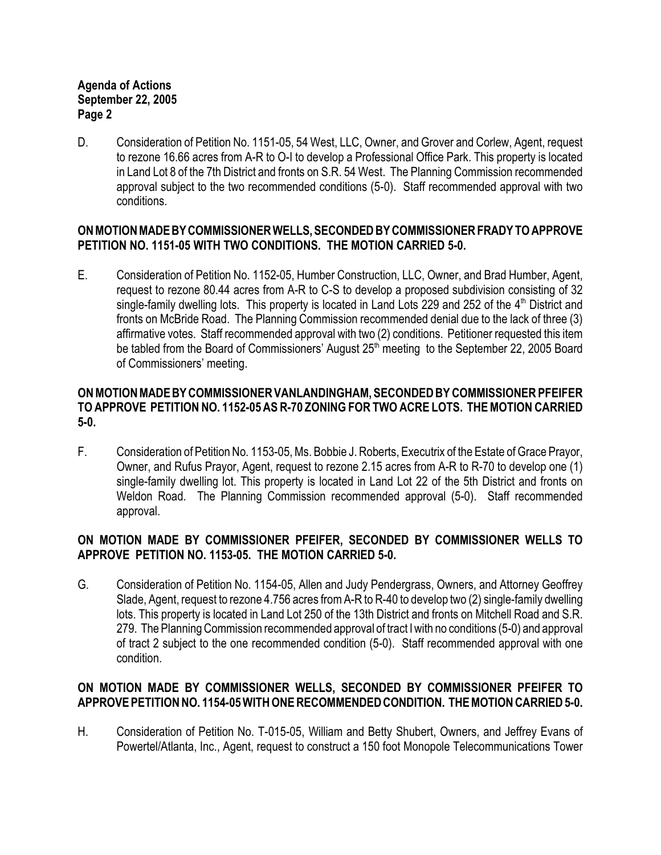D. Consideration of Petition No. 1151-05, 54 West, LLC, Owner, and Grover and Corlew, Agent, request to rezone 16.66 acres from A-R to O-I to develop a Professional Office Park. This property is located in Land Lot 8 of the 7th District and fronts on S.R. 54 West. The Planning Commission recommended approval subject to the two recommended conditions (5-0). Staff recommended approval with two conditions.

# **ON MOTION MADE BY COMMISSIONER WELLS, SECONDED BY COMMISSIONER FRADY TO APPROVE PETITION NO. 1151-05 WITH TWO CONDITIONS. THE MOTION CARRIED 5-0.**

E. Consideration of Petition No. 1152-05, Humber Construction, LLC, Owner, and Brad Humber, Agent, request to rezone 80.44 acres from A-R to C-S to develop a proposed subdivision consisting of 32 single-family dwelling lots. This property is located in Land Lots 229 and 252 of the  $4<sup>th</sup>$  District and fronts on McBride Road. The Planning Commission recommended denial due to the lack of three (3) affirmative votes. Staff recommended approval with two (2) conditions. Petitioner requested this item be tabled from the Board of Commissioners' August 25<sup>th</sup> meeting to the September 22, 2005 Board of Commissioners' meeting.

### **ON MOTION MADE BY COMMISSIONER VANLANDINGHAM, SECONDED BY COMMISSIONER PFEIFER TO APPROVE PETITION NO. 1152-05 AS R-70 ZONING FOR TWO ACRE LOTS. THE MOTION CARRIED 5-0.**

F. Consideration of Petition No. 1153-05, Ms. Bobbie J. Roberts, Executrix of the Estate of Grace Prayor, Owner, and Rufus Prayor, Agent, request to rezone 2.15 acres from A-R to R-70 to develop one (1) single-family dwelling lot. This property is located in Land Lot 22 of the 5th District and fronts on Weldon Road. The Planning Commission recommended approval (5-0). Staff recommended approval.

# **ON MOTION MADE BY COMMISSIONER PFEIFER, SECONDED BY COMMISSIONER WELLS TO APPROVE PETITION NO. 1153-05. THE MOTION CARRIED 5-0.**

G. Consideration of Petition No. 1154-05, Allen and Judy Pendergrass, Owners, and Attorney Geoffrey Slade, Agent, request to rezone 4.756 acres from A-R to R-40 to develop two (2) single-family dwelling lots. This property is located in Land Lot 250 of the 13th District and fronts on Mitchell Road and S.R. 279. The Planning Commission recommended approval of tract I with no conditions (5-0) and approval of tract 2 subject to the one recommended condition (5-0). Staff recommended approval with one condition.

# **ON MOTION MADE BY COMMISSIONER WELLS, SECONDED BY COMMISSIONER PFEIFER TO APPROVE PETITION NO. 1154-05 WITH ONE RECOMMENDED CONDITION. THE MOTION CARRIED 5-0.**

H. Consideration of Petition No. T-015-05, William and Betty Shubert, Owners, and Jeffrey Evans of Powertel/Atlanta, Inc., Agent, request to construct a 150 foot Monopole Telecommunications Tower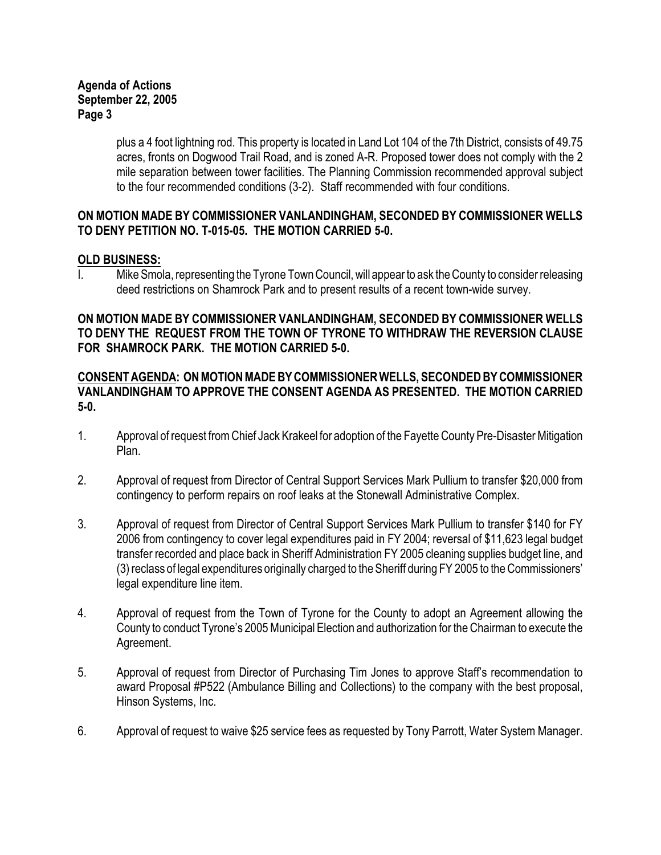plus a 4 foot lightning rod. This property is located in Land Lot 104 of the 7th District, consists of 49.75 acres, fronts on Dogwood Trail Road, and is zoned A-R. Proposed tower does not comply with the 2 mile separation between tower facilities. The Planning Commission recommended approval subject to the four recommended conditions (3-2). Staff recommended with four conditions.

# **ON MOTION MADE BY COMMISSIONER VANLANDINGHAM, SECONDED BY COMMISSIONER WELLS TO DENY PETITION NO. T-015-05. THE MOTION CARRIED 5-0.**

# **OLD BUSINESS:**

I. Mike Smola, representing the Tyrone Town Council, will appear to ask the County to consider releasing deed restrictions on Shamrock Park and to present results of a recent town-wide survey.

# **ON MOTION MADE BY COMMISSIONER VANLANDINGHAM, SECONDED BY COMMISSIONER WELLS TO DENY THE REQUEST FROM THE TOWN OF TYRONE TO WITHDRAW THE REVERSION CLAUSE FOR SHAMROCK PARK. THE MOTION CARRIED 5-0.**

# **CONSENT AGENDA: ON MOTION MADE BY COMMISSIONER WELLS, SECONDED BY COMMISSIONER VANLANDINGHAM TO APPROVE THE CONSENT AGENDA AS PRESENTED. THE MOTION CARRIED 5-0.**

- 1. Approval of request from Chief Jack Krakeel for adoption of the Fayette County Pre-Disaster Mitigation Plan.
- 2. Approval of request from Director of Central Support Services Mark Pullium to transfer \$20,000 from contingency to perform repairs on roof leaks at the Stonewall Administrative Complex.
- 3. Approval of request from Director of Central Support Services Mark Pullium to transfer \$140 for FY 2006 from contingency to cover legal expenditures paid in FY 2004; reversal of \$11,623 legal budget transfer recorded and place back in Sheriff Administration FY 2005 cleaning supplies budget line, and (3) reclass of legal expenditures originally charged to the Sheriff during FY 2005 to the Commissioners' legal expenditure line item.
- 4. Approval of request from the Town of Tyrone for the County to adopt an Agreement allowing the County to conduct Tyrone's 2005 Municipal Election and authorization for the Chairman to execute the Agreement.
- 5. Approval of request from Director of Purchasing Tim Jones to approve Staff's recommendation to award Proposal #P522 (Ambulance Billing and Collections) to the company with the best proposal, Hinson Systems, Inc.
- 6. Approval of request to waive \$25 service fees as requested by Tony Parrott, Water System Manager.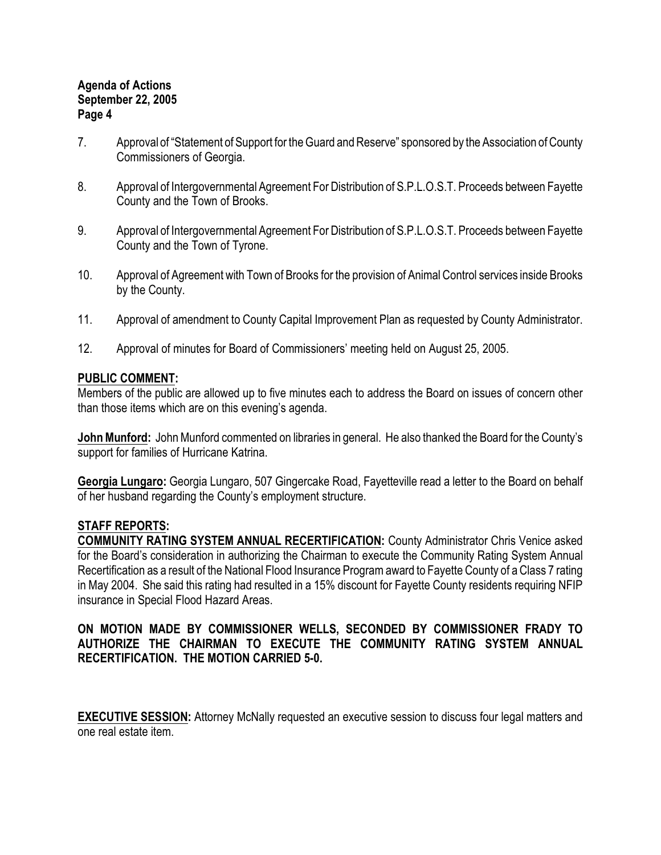- 7. Approval of "Statement of Support for the Guard and Reserve" sponsored by the Association of County Commissioners of Georgia.
- 8. Approval of Intergovernmental Agreement For Distribution of S.P.L.O.S.T. Proceeds between Fayette County and the Town of Brooks.
- 9. Approval of Intergovernmental Agreement For Distribution of S.P.L.O.S.T. Proceeds between Fayette County and the Town of Tyrone.
- 10. Approval of Agreement with Town of Brooks for the provision of Animal Control services inside Brooks by the County.
- 11. Approval of amendment to County Capital Improvement Plan as requested by County Administrator.
- 12. Approval of minutes for Board of Commissioners' meeting held on August 25, 2005.

# **PUBLIC COMMENT:**

Members of the public are allowed up to five minutes each to address the Board on issues of concern other than those items which are on this evening's agenda.

**John Munford:** John Munford commented on libraries in general. He also thanked the Board for the County's support for families of Hurricane Katrina.

**Georgia Lungaro:** Georgia Lungaro, 507 Gingercake Road, Fayetteville read a letter to the Board on behalf of her husband regarding the County's employment structure.

#### **STAFF REPORTS:**

**COMMUNITY RATING SYSTEM ANNUAL RECERTIFICATION:** County Administrator Chris Venice asked for the Board's consideration in authorizing the Chairman to execute the Community Rating System Annual Recertification as a result of the National Flood Insurance Program award to Fayette County of a Class 7 rating in May 2004. She said this rating had resulted in a 15% discount for Fayette County residents requiring NFIP insurance in Special Flood Hazard Areas.

# **ON MOTION MADE BY COMMISSIONER WELLS, SECONDED BY COMMISSIONER FRADY TO AUTHORIZE THE CHAIRMAN TO EXECUTE THE COMMUNITY RATING SYSTEM ANNUAL RECERTIFICATION. THE MOTION CARRIED 5-0.**

**EXECUTIVE SESSION:** Attorney McNally requested an executive session to discuss four legal matters and one real estate item.